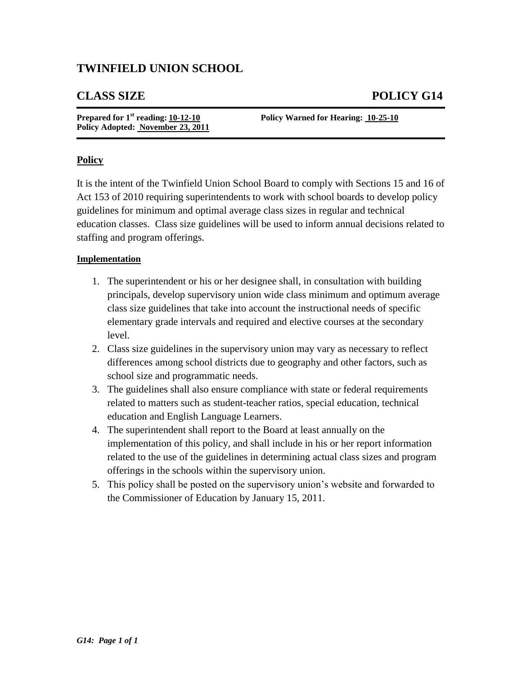# **TWINFIELD UNION SCHOOL**

## **CLASS SIZE POLICY G14**

| Prepared for $1st$ reading: $10-12-10$ |
|----------------------------------------|
| Policy Adopted: November 23, 2011      |

**Policy Warned for Hearing: 10-25-10** 

### **Policy**

It is the intent of the Twinfield Union School Board to comply with Sections 15 and 16 of Act 153 of 2010 requiring superintendents to work with school boards to develop policy guidelines for minimum and optimal average class sizes in regular and technical education classes. Class size guidelines will be used to inform annual decisions related to staffing and program offerings.

#### **Implementation**

- 1. The superintendent or his or her designee shall, in consultation with building principals, develop supervisory union wide class minimum and optimum average class size guidelines that take into account the instructional needs of specific elementary grade intervals and required and elective courses at the secondary level.
- 2. Class size guidelines in the supervisory union may vary as necessary to reflect differences among school districts due to geography and other factors, such as school size and programmatic needs.
- 3. The guidelines shall also ensure compliance with state or federal requirements related to matters such as student-teacher ratios, special education, technical education and English Language Learners.
- 4. The superintendent shall report to the Board at least annually on the implementation of this policy, and shall include in his or her report information related to the use of the guidelines in determining actual class sizes and program offerings in the schools within the supervisory union.
- 5. This policy shall be posted on the supervisory union's website and forwarded to the Commissioner of Education by January 15, 2011.